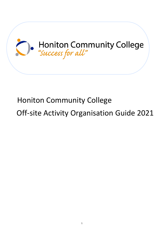

# Honiton Community College

Off-site Activity Organisation Guide 2021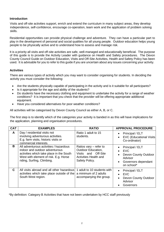#### **Introduction**

Visits and off-site activities support, enrich and extend the curriculum in many subject areas, they develop independence, self-confidence, encourage co-operation, team work and the application of problem solving skills.

Residential opportunities can provide physical challenge and adventure. They can have a particular part to play in the development of personal and social qualities for all young people. Outdoor education helps young people to be physically active and to understand how to assess and manage risk.

It is a priority all visits and off-site activities are safe, well-managed and educationally beneficial. The purpose of this guide is to provide the Activity Leader with guidance on Health and Safety procedures. The Devon County Council Guide on Outdoor Education, Visits and Off-Site Activities, Health and Safety Policy has been used. It is advisable for you to refer to this guide if you are uncertain about any issues concerning your activity.

#### **Activities**

There are various types of activity which you may want to consider organising for students. In deciding the activity you must consider the following:

- Are the students physically capable of participating in the activity and is it suitable for all participants?
- Is it appropriate for the age and ability of the students?
- Do students have the necessary clothing and equipment to undertake the activity for a range of weather conditions? It is important that you check that the provider will be offering appropriate additional equipment.
- Have you considered alternatives for poor weather conditions?

All activities will be categorised by Devon County Council as either A, B, or C.

The first step is to identify which of the categories your activity is banded in as this will have implications for the application, planning and organisation procedures.

| <b>CAT</b>   | <b>EXAMPLES</b>                                                                                                                                                                             | <b>RATIO</b>                                                                                                     | <b>APPROVAL PROCEDURE</b>                                                                                                                                 |
|--------------|---------------------------------------------------------------------------------------------------------------------------------------------------------------------------------------------|------------------------------------------------------------------------------------------------------------------|-----------------------------------------------------------------------------------------------------------------------------------------------------------|
| $\mathsf{A}$ | Day / residential visits not<br>involving adventurous activities.<br>E.g. farm visits, historic visits or<br>commercial interests.                                                          | Ratio 1 adult to 15<br>students.                                                                                 | Principal / ELT<br>$\bullet$<br><b>EVC (Educational Visits)</b><br>$\bullet$<br>Co-ordinator)                                                             |
| в            | All adventurous activities / hazardous<br>indoor and outdoor adventurous<br>activities which take place in the South<br>West with element of risk. E.g. Horse<br>riding, Surfing, Climbing. | Ratios vary $-$ refer to<br>Outdoor Education,<br>Visits and Off-Site<br>Activities Health and<br>Safety Policy. | Principal / ELT<br>$\bullet$<br><b>EVC</b><br>$\bullet$<br>Devon County Outdoor<br>$\bullet$<br>Advisor<br>Governors dependant<br>$\bullet$<br>on school* |
| C            | All visits abroad and all other hazardous<br>activities which take place outside of the<br>South West region.                                                                               | 1 adult to 10 students with<br>a minimum of 2 adults<br>accompanying the group.                                  | Principal / ELT<br>$\bullet$<br><b>EVC</b><br>$\bullet$<br>Devon County Outdoor<br>$\bullet$<br>Advisor<br>Governors                                      |

\*By definition: Category B Activities that have not been undertaken by HCC staff previously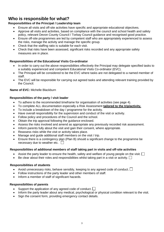# **Who is responsible for what?**

# **Responsibilities of the Principal / Leadership team**

- Ensure all visits and off-site activities have specific and appropriate educational objectives.
- Approve all visits and activities, based on compliance with the council and school health and safety policy, relevant Devon County Council / Torbay Council guidance and recognised good practice.
- Ensure off-site programmes are led by competent staff who are appropriately experienced to assess the risks, manage the activity and manage the specific group.
- Check that the staffing ratio is suitable for each visit.
- Check that risks have been assessed, significant risks recorded and any appropriate safety measures are in place.

### **Responsibilities of the Educational Visits Co-ordinator**

- In order to carry out the above responsibilities effectively the Principal may delegate specified tasks to a suitably experienced and competent Educational Visits Co-ordinator (EVC).
- The Principal will be considered to be the EVC where tasks are not delegated to a named member of staff.
- The EVC will be responsible for carrying out agreed tasks and attending relevant training provided by the Council.

### **Name of EVC:** Michelle Blackburn

### **Responsibilities of the party / visit leader**

- To adhere to the recommended timeframe for organisation of activities (see page 4).
- To complete ALL documentation especially a Risk Assessment **tailored to the trip/activity.**
- To include a breakdown of the day / programme for the activity.
- Have overall responsibility for the supervision and conduct of the visit or activity.
- Follow policy and procedures of the Council and the school.
- Obtain the trip approval following the guidance enclosed.
- Assess the risks involved and amend as appropriate any previously recorded risk assessment.
- Inform parents fully about the visit and gain their consent, where appropriate.
- Reassess risks while the visit or activity takes place.
- Manage and guide additional staff members on the visit / trip.
- Ensure there is a contingency plan (Plan B) should a significant change to the programme be necessary due to weather etc.  $\square$

### **Responsibilities of additional members of staff taking part in visits and off-site activities**

- Assist the party leader to ensure the health, safety and welfare of young people on the visit.  $\Box$
- Be clear about their roles and responsibilities whilst taking part in a visit or activity.  $\Box$

# **Responsibilities of students**

- Avoid unnecessary risks, behave sensibly, keeping to any agreed code of conduct.  $\Box$
- Follow instructions of the party leader and other members of staff.
- Inform a member of staff of significant hazards.

# **Responsibilities of parents**

- Support the application of any agreed code of conduct.  $\square$
- Inform the party leader about any medical, psychological or physical condition relevant to the visit.
- Sign the consent form, providing emergency contact details.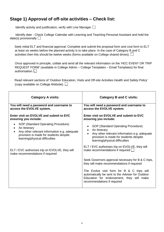# **Stage 1) Approval of off-site activities – Check list:**

Identify activity and justification, verify with Line Manager  $\Box$ 

Identify date - Check College Calendar with Learning and Teaching Personal Assistant and hold the date(s) provisionally  $\square$ 

- · Seek initial ELT and financial approval: Complete and submit the proposal form and cost form to ELT at least six weeks before the planned activity is to take place. In the case of Category B and C activities then this should be twelve weeks (forms available on College shared drives).  $\Box$
- · Once approved in principle, collate and send all the relevant information on the 'HCC EVENT OR TRIP REQUEST FORM' (available in College Admin – College Templates – Email Templates) for final authorisation.  $\square$
- Read relevant sections of 'Outdoor Education, Visits and Off-site Activities Health and Safety Policy' (copy available on College Website).  $\square$

| <b>Category A visits:</b>                                                                                                                                                                   | <b>Category B and C visits:</b>                                                                                                                                                |  |  |
|---------------------------------------------------------------------------------------------------------------------------------------------------------------------------------------------|--------------------------------------------------------------------------------------------------------------------------------------------------------------------------------|--|--|
| You will need a password and username to<br>access the EVOLVE system.                                                                                                                       | You will need a password and username to<br>access the EVOLVE system.                                                                                                          |  |  |
| Enter visit on EVOLVE and submit to EVC<br>ensuring you include:                                                                                                                            | Enter visit on EVOLVE and submit to EVC<br>ensuring you include:                                                                                                               |  |  |
| SOP (Standard Operating Procedure)<br>$\bullet$<br>An Itinerary<br>Any other relevant information e.g. adequate<br>provision is made for students despite<br>learning/physical difficulties | SOP (Standard Operating Procedure)<br>An Itinerary<br>Any other relevant information e.g. adequate<br>provision is made for students despite<br>learning/physical difficulties |  |  |
| ELT / EVC authorizes trip on EVOLVE, they will<br>make recommendations if required                                                                                                          | ELT / EVC authorises trip on EVOLVE, they will<br>make recommendations if required $\Box$                                                                                      |  |  |
|                                                                                                                                                                                             | Seek Governors approval necessary for B & C trips,<br>they will make recommendations if required                                                                               |  |  |
|                                                                                                                                                                                             | The Evolve visit form for B & C trips will<br>automatically be sent to the Adviser for Outdoor<br>Education for endorsement, they will make<br>recommendations if required     |  |  |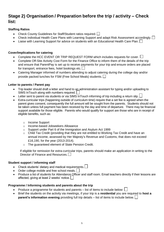# **Stage 2) Organisation / Preparation before the trip / activity – Check list:**

#### **Staffing Ratios**

- Check County Guidelines for Staff/Student ratios required.  $\Box$
- Check individual Health Care Plans with Learning Support and adapt Risk Assessment accordingly.  $\square$
- Liaise with Learning Support for advice on students with an Educational Health Care Plan.  $\Box$

#### **Cover/Implications for catering**

- Complete the HCC EVENT OR TRIP REQUEST FORM which includes requests for cover.  $\Box$
- Complete Off-Site Activity Cost Form for the Finance Office to inform them of the details of the trip and ensure that ParentPay is set up to receive payments for your trip and ensure orders are placed for transport, entrance fees, hotel bookings etc.  $\Box$
- Catering Manager informed of numbers attending to adjust catering during the college day and/or provide packed lunches for FSM (Free School Meals) students.

#### **Letter to parents / Parent pay**

- Trip leader should draft a letter and hand to an administration assistant for typing and/or uploading to SIMS InTouch along with numbers required.
- Letter sent to parent via students or via SIMS InTouch informing of trip including a return slip.
- Extra-curricular trips (happening outside of curriculum time) require that a set fee is agreed when the parent gives consent, consequently the full amount will be sought from the parents. Students should not be taken unless full payment has been received by the day and time of departure. There may be financial support available for those eligible. Parents who would qualify for support are those who are in receipt of eligible benefits, such as:
	- o Income Support
	- o Income-based Jobseekers Allowance
	- o Support under Part 6 of the Immigration and Asylum Act 1999
	- $\circ$  Child Tax Credit (providing that they are not entitled to Working Tax Credit and have an annual income, assessed by Her Majesty's Revenue and Customs, that does not exceed £16,190, for the year (2013-2014).
	- o The guaranteed element of State Pension Credit.

If eligible for remission for extra-curricular trips, parents should make an application in writing to the Director of Finance and Resources.

#### **Student support / informing staff**

- Check students' dietary and medical requirements.
- Order college mobile and free school meals.
- Produce a list of students for Attendance Officer and staff room. Email teachers directly if their lessons are affected, giving at least 2 weeks' notice.

#### **Programme / Informing students and parents about the trip**

- Produce a programme for students and parents list of items to include below:  $\Box$
- Brief the students on the activity via meetings, if your trip is a **residential** you are required to **host a parent's information evening** providing full trip details – list of items to include below.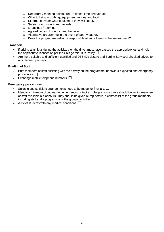- o Departure / meeting points / return dates, time and venues.
- $\circ$  What to bring clothing, equipment, money and food.
- o External provider what equipment they will supply.
- o Safety risks / significant hazards.
- o Groupings / rooming.
- o Agreed codes of conduct and behavior.
- o Alternative programme in the event of poor weather.
- o Does the programme reflect a responsible attitude towards the environment?

#### **Transport**

- If driving a minibus during the activity, then the driver must have passed the appropriate test and hold the appropriate licences as per the College Mini Bus Policy.  $\Box$
- Are there suitable and sufficient qualified and DBS (Disclosure and Barring Services) checked drivers for any planned journey?

#### **Briefing of Staff**

- Brief members of staff assisting with the activity on the programme, behaviour expected and emergency procedures.  $\Box$
- Exchange mobile telephone numbers.  $\Box$

#### **Emergency procedures**

- Suitable and sufficient arrangements need to be made for **first aid.**
- Identify a minimum of two named emergency contact at college / home these should be senior members of staff available out-of hours. They should be given all trip details, a contact list of the group members including staff and a programme of the group's activities.  $\Box$
- A list of students with any medical conditions.  $\Box$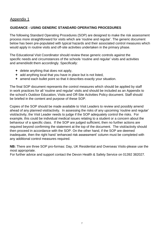### Appendix 1

### **GUIDANCE - USING GENERIC STANDARD OPERATING PROCEDURES**

The following Standard Operating Procedures (SOP) are designed to make the risk assessment process more straightforward for visits which are 'routine and regular'. The generic document below has been pre-populated with typical hazards and their associated control measures which would apply in routine visits and off-site activities undertaken in the primary phase.

The Educational Visit Coordinator should review these generic controls against the specific needs and circumstances of the schools 'routine and regular' visits and activities and amend/edit them accordingly. Specifically:

- $\div$  delete anything that does not apply,
- $\div$  add anything local that you have in place but is not listed,
- $+$  amend each bullet point so that it describes exactly your situation.

The final SOP document represents the control measures which should be applied by staff in work practices for all 'routine and regular' visits and should be included as an Appendix to the school's Outdoor Education, Visits and Off-Site Activities Policy document. Staff should be briefed in the content and purpose of these SOP.

Copies of the SOP should be made available to Visit Leaders to review and possibly amend ahead of any planned visit/activity. In assessing the risks of any upcoming 'routine and regular' visit/activity, the Visit Leader needs to judge if the SOP adequately control the risks. For example, this could be individual medical issues relating to a student or a concern about the behaviour of a specific class. If the SOP are judged sufficient, then no further actions are required beyond confirming the statement at the top of the document. The visit/activity should then proceed in accordance with the SOP. On the other hand, if the SOP are deemed inadequate, then the right hand 'enhanced risk assessment' column must be completed with any additional control measures required.

**NB:** There are three SOP pro-formas: Day, UK Residential and Overseas Visits-please use the most appropriate.

For further advice and support contact the Devon Health & Safety Service on 01392 382027.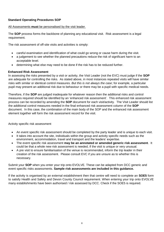#### **Standard Operating Procedures SOP**

#### All Assessments **must** be personalised by the visit leader.

The **SOP** process forms the backbone of planning any educational visit. Risk assessment is a legal requirement.

The risk assessment of off-site visits and activities is simply:

- careful examination and identification of what could go wrong or cause harm during the visit.
- a judgement to see whether the planned precautions reduce the risk of significant harm to an acceptable level.
- determining what else may need to be done if the risk has to be reduced further.

#### **Enhanced Risk Assessment**

In assessing the risks presented by a visit or activity, the Visit Leader (not the EVC) must judge if the **SOP**  are adequate for controlling the risks. As stated above, in most instances repeated visits will have similar risks with similar or identical control measures. *But this is not always the case*; for example, a particular pupil may present an additional risk due to behaviour or there may be a pupil with specific medical needs.

Therefore, if the **SOP** are judged inadequate for whatever reason then the additional risks and control measures required should be identified by an 'enhanced risk assessment'. This enhanced risk assessment process can be recorded by amending the **SOP** document for each visit/activity. The Visit Leader should list the additional control measures needed in the final enhanced risk assessment column of the **SOP**  document. In this case, the combination of the main body of the SOP and the enhanced risk assessment element together will form the risk assessment record for the visit.

Activity specific risk assessment

- An event specific risk assessment should be completed by the party leader and is unique to each visit.
- It takes into account the site, individuals within the group and activity specific needs such as the environment, accommodation, travel and transport and the leaders' expertise.
- The event specific risk assessment **may be an annotated or amended generic risk assessment**. It could be that a whole new risk assessment is needed, if the visit is unique or very unusual.
- A pre visit to ensure familiarisation of the venue is recommended, inform the trip leader in their creation of the risk assessment. Please consult EVC if you are unsure as to whether this is necessary.

Submit your **SOP** when you enter your trip onto EVOLVE. These can be adapted from DCC generic and event specific risks assessments. **Sample risk assessments are included in this guidance.**

If the activity is organised by an external establishment then that centre will need to complete an **SOE5** form to satisfy Health and Safety and Devon County Council requirement. When entering your trip onto EVOLVE many establishments have been authorised / risk assessed by DCC. Check if the SOE5 is required.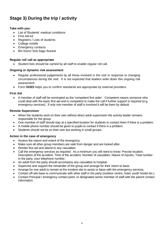# **Stage 3) During the trip / activity**

#### **Take with you:**

- List of Students' medical conditions
- First Aid kit
- Registers / Lists of students
- College mobile
- Emergency contacts
- Bin liners/ Sick bags /bucket

#### **Regular roll call as appropriate**

Student lists should be carried by all staff to enable regular roll call.

#### **Ongoing or dynamic risk assessment**

- Regular professional judgements by all those involved in the visit in response to changing circumstances during the visit. It is not expected that leaders write down this ongoing risk assessment.
- Form **SOE5** helps you to confirm standards are appropriate by external providers.

#### **First Aid**

• A member of staff will be nominated as the 'competent first aider'. Competent means someone who could deal with the basic first aid and is competent to make the call if further support is required (e.g. emergency services). If only one member of staff is involved it will be them by default.

#### **Remote Supervision**

- When the students work on their own without direct adult supervision the activity leader remains responsible for the group.
- One member of staff should stay at a specified location for students to contact them if there is a problem.
- A mobile phone number should be given to pupils to contact if there is a problem.
- Students should not be on their own but working in small groups.

#### **Action in the case of emergency**

- Assess the nature and extent of the emergency.
- Make sure all other group members are safe from danger and are looked after.
- Render first aid and attend to any casualties.
- Call the emergency services as required. As a minimum you will need to know: Precise location, Description of the accident, Time of the accident, Number of casualties, Nature of injuries, Total number in the party, your telephone number.
- An adult from the party should accompany any casualties to hospital.
- Supervise and support the remainder of the group and arrange for their return to base.
- Arrange for one adult to remain at the incident site to assist or liaise with the emergency services.
- Contact off-site base to communicate with other staff in the party (outdoor centre, hotel, youth hostel etc.)
- Contact Principal / emergency contact point, or designated senior member of staff with the parent contact information.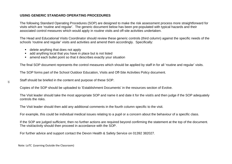#### **USING GENERIC STANDARD OPERATING PROCEDURES**

The following Standard Operating Procedures (SOP) are designed to make the risk assessment process more straightforward for visits which are 'routine and regular'. The generic document below has been pre-populated with typical hazards and their associated control measures which would apply in routine visits and off-site activities undertaken.

The Head and Educational Visits Coordinator should review these generic controls (third column) against the specific needs of the schools 'routine and regular' visits and activities and amend them accordingly. Specifically:

- delete anything that does not apply
- add anything local that you have in place but is not listed
- amend each bullet point so that it describes exactly your situation

The final SOP document represents the control measures which should be applied by staff in for all 'routine and regular' visits.

The SOP forms part of the School Outdoor Education, Visits and Off-Site Activities Policy document.

Staff should be briefed in the content and purpose of these SOP.

Copies of the SOP should be uploaded to 'Establishment Documents' in the resources section of Evolve.

The Visit leader should take the most appropriate SOP and name it and date it for the visit/s and then judge if the SOP adequately controls the risks.

The Visit leader should then add any additional comments in the fourth column specific to the visit.

For example, this could be individual medical issues relating to a pupil or a concern about the behaviour of a specific class.

If the SOP are judged sufficient, then no further actions are required beyond confirming the statement at the top of the document. The visit/activity should then proceed in accordance with the SOP.

For further advice and support contact the Devon Health & Safety Service on 01392 382027.

Note: LoTC (Learning Outside the Classroom)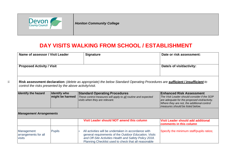

 $\overrightarrow{a}$ 

*Honiton Community College*

# **DAY VISITS WALKING FROM SCHOOL / ESTABLISHMENT**

| Name of assessor / Visit Leader                                                                                                                                                           |                                        | <b>Signature</b>                                                                                                                                                                                                                | Date or risk assessment:                                                                                                                                                                                          |  |  |  |  |  |  |
|-------------------------------------------------------------------------------------------------------------------------------------------------------------------------------------------|----------------------------------------|---------------------------------------------------------------------------------------------------------------------------------------------------------------------------------------------------------------------------------|-------------------------------------------------------------------------------------------------------------------------------------------------------------------------------------------------------------------|--|--|--|--|--|--|
|                                                                                                                                                                                           |                                        |                                                                                                                                                                                                                                 |                                                                                                                                                                                                                   |  |  |  |  |  |  |
| <b>Proposed Activity / Visit</b>                                                                                                                                                          |                                        | Date/s of visit/activity:                                                                                                                                                                                                       |                                                                                                                                                                                                                   |  |  |  |  |  |  |
|                                                                                                                                                                                           |                                        |                                                                                                                                                                                                                                 |                                                                                                                                                                                                                   |  |  |  |  |  |  |
| Risk assessment declaration: (delete as appropriate) the below Standard Operating Procedures are sufficient / insufficient to<br>control the risks presented by the above activity/visit. |                                        |                                                                                                                                                                                                                                 |                                                                                                                                                                                                                   |  |  |  |  |  |  |
| <b>Identify the hazard</b>                                                                                                                                                                | <b>Identify who</b><br>might be harmed | <b>Standard Operating Procedures</b><br>These control measures will apply to all routine and expected<br>visits when they are relevant.                                                                                         | <b>Enhanced Risk Assessment</b><br>The Visit Leader should consider if the SOP<br>are adequate for the proposed visit/activity.<br>Where they are not, the additional control<br>measures should be listed below. |  |  |  |  |  |  |
| <b>Management Arrangements</b>                                                                                                                                                            |                                        |                                                                                                                                                                                                                                 |                                                                                                                                                                                                                   |  |  |  |  |  |  |
|                                                                                                                                                                                           |                                        | Visit Leader should NOT amend this column                                                                                                                                                                                       | <b>Visit Leader should add additional</b><br>comments in this column                                                                                                                                              |  |  |  |  |  |  |
| Management<br>arrangements for all<br>visits                                                                                                                                              | <b>Pupils</b>                          | All activities will be undertaken in accordance with<br>general requirements of the Outdoor Education, Visits<br>and Off-Site Activities Health and Safety Policy 2018.<br>Planning Checklist used to check that all reasonable | Specify the minimum staff/pupils ratios;                                                                                                                                                                          |  |  |  |  |  |  |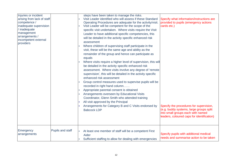| Injuries or incident<br>arising from lack of staff<br>competence /<br>inadequate supervision<br>/ inadequate<br>management<br>arrangements /<br>incompetent external<br>providers |                  | steps have been taken to manage the risks.<br>Visit Leader identified who will assess if these Standard<br>Operating Procedures are adequate for the activity/visit.<br>Visit Leader will be competent for the scope of the<br>specific visit undertaken. Where visits require the Visit<br>Leader to have additional specific competencies, this<br>will be detailed in the activity specific enhanced risk<br>assessment<br>Where children of supervising staff participate in the<br>visit, these will be the same age and ability as the<br>remainder of the group and hence can participate as<br>equals<br>Where visits require a higher level of supervision, this will<br>be detailed in the activity specific enhanced risk<br>assessment. Where visits involve any degree of 'remote<br>supervision', this will be detailed in the activity specific<br>enhanced risk assessment<br>Group control measures used to supervise pupils will be<br>recorded in right hand column<br>Appropriate parental consent is obtained<br>Arrangements overseen by Educational Visits<br>Coordinator, Glenn Smith who attended training<br>All visit approved by the Principal<br>Arrangements for Category B and C Visits endorsed by<br><b>Babcock LDP</b> | Specify what information/instructions are<br>provided to pupils (emergency actions<br>cards etc.)<br>Specify the procedures for supervision,<br>(e.g. buddy systems, large groups split<br>into small groups each with named<br>leaders, coloured caps for identification) |
|-----------------------------------------------------------------------------------------------------------------------------------------------------------------------------------|------------------|----------------------------------------------------------------------------------------------------------------------------------------------------------------------------------------------------------------------------------------------------------------------------------------------------------------------------------------------------------------------------------------------------------------------------------------------------------------------------------------------------------------------------------------------------------------------------------------------------------------------------------------------------------------------------------------------------------------------------------------------------------------------------------------------------------------------------------------------------------------------------------------------------------------------------------------------------------------------------------------------------------------------------------------------------------------------------------------------------------------------------------------------------------------------------------------------------------------------------------------------------------|----------------------------------------------------------------------------------------------------------------------------------------------------------------------------------------------------------------------------------------------------------------------------|
| Emergency<br>arrangements                                                                                                                                                         | Pupils and staff | At least one member of staff will be a competent First<br>Aider<br>Sufficient staffing to allow for dealing with emergencies                                                                                                                                                                                                                                                                                                                                                                                                                                                                                                                                                                                                                                                                                                                                                                                                                                                                                                                                                                                                                                                                                                                             | Specify pupils with additional medical<br>needs and summarise action to be taken                                                                                                                                                                                           |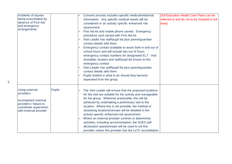| Incidents of injuries<br>being exacerbated by<br>absence of First Aid<br>and emergency<br>arrangements                            |               | Consent process includes specific medical/medicinal<br>information. Any specific medical needs will be<br>considered in an activity specific enhanced risk<br>assessment<br>First Aid kit and mobile phone carried. Emergency<br>procedure card carried with First Aid kit.<br>Visit Leader has staff/pupil list plus parent/guardian<br>contact details with them<br>Emergency contact available to assist both in and out of<br>school hours and will include two out of hours<br>emergency contact numbers for designated ELT. Visit<br>timetable, location and staff/pupil list known to this<br>emergency contact<br>Visit Leader has staff/pupil list plus parent/guardian<br>contact details with them<br>Pupils briefed in what to do should they become<br>separated from the group. | (full Education Health Care Plans can be<br>referred to and do not to be included in full<br>here) |
|-----------------------------------------------------------------------------------------------------------------------------------|---------------|-----------------------------------------------------------------------------------------------------------------------------------------------------------------------------------------------------------------------------------------------------------------------------------------------------------------------------------------------------------------------------------------------------------------------------------------------------------------------------------------------------------------------------------------------------------------------------------------------------------------------------------------------------------------------------------------------------------------------------------------------------------------------------------------------|----------------------------------------------------------------------------------------------------|
| Using external<br>providers<br>incompetent external<br>providers / failure to<br>coordinate supervision<br>with external provider | <b>Pupils</b> | The Visit Leader will ensure that the proposed locations<br>for the visit are suitable for the activity and manageable<br>for the group. Wherever practicable, this will be<br>achieved by undertaking a preliminary visit to the<br>location. Where this is not possible, the method of<br>assessing locations/venues will be detailed in the<br>activity specific enhanced risk assessment<br>Where an external provider controls or determines<br>activities, including accommodation, the SOE5 self-<br>declaration questionnaire will be used to vet this<br>provider unless this provider has the LoTC accreditation                                                                                                                                                                    |                                                                                                    |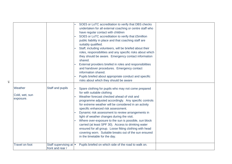| Weather<br>Cold, wet, sun<br>exposure. | Staff and pupils                           | SOE5 or LoTC accreditation to verify that DBS checks<br>undertaken for all external coaching or centre staff who<br>have regular contact with children<br>SOE5 or LoTC accreditation to verify that £5million<br>public liability in place and that coaching staff are<br>suitably qualified.<br>Staff, including volunteers, will be briefed about their<br>roles, responsibilities and any specific risks about which<br>they should be aware. Emergency contact information<br>shared.<br>External providers briefed in roles and responsibilities<br>and handover procedures. Emergency contact<br>information shared.<br>Pupils briefed about appropriate conduct and specific<br>risks about which they should be aware<br>Spare clothing for pupils who may not come prepared<br>for with suitable clothing<br>Weather forecast checked ahead of visit and<br>programme adjusted accordingly. Any specific controls<br>for extreme weather will be considered in an activity<br>specific enhanced risk assessment.<br>Dynamic risk assessment to review arrangements in<br>light of weather changes during the visit.<br>Where over-exposure to the sun is possible, sun block<br>carried (at least SPF 30). Access to drinking water |  |
|----------------------------------------|--------------------------------------------|----------------------------------------------------------------------------------------------------------------------------------------------------------------------------------------------------------------------------------------------------------------------------------------------------------------------------------------------------------------------------------------------------------------------------------------------------------------------------------------------------------------------------------------------------------------------------------------------------------------------------------------------------------------------------------------------------------------------------------------------------------------------------------------------------------------------------------------------------------------------------------------------------------------------------------------------------------------------------------------------------------------------------------------------------------------------------------------------------------------------------------------------------------------------------------------------------------------------------------------------|--|
|                                        |                                            | ensured for all group. Loose fitting clothing with head<br>covering worn. Suitable breaks out of the sun ensured<br>in the timetable for the day.                                                                                                                                                                                                                                                                                                                                                                                                                                                                                                                                                                                                                                                                                                                                                                                                                                                                                                                                                                                                                                                                                            |  |
| <b>Travel on foot</b>                  | Staff supervising at =<br>front and rear / | Pupils briefed on which side of the road to walk on.                                                                                                                                                                                                                                                                                                                                                                                                                                                                                                                                                                                                                                                                                                                                                                                                                                                                                                                                                                                                                                                                                                                                                                                         |  |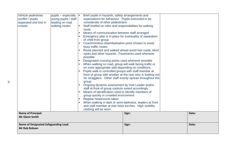| Vehicle pedestrian<br>conflict / pupils<br>separated and lost in<br>crowds | pupils – especially $  \cdot  $<br>young pupils / staff<br>leading on road<br>walking routes | Brief pupils in hazards, safety arrangements and<br>expectations for behaviour. Pupils instructed to be<br>considerate of other pedestrians<br>Staff briefed on roles and responsibilities for walking<br>route.<br>Means of communication between staff arranged.<br>Emergency plan is in place for eventuality of separation<br>of child from group<br>Coach/minibus disembarkation point chosen to avoid<br>busy traffic routes<br>Route planned and walked ahead avoid fast roads, blind<br>spots and other hazards. Pavements used wherever<br>possible<br>Designated crossing points used wherever possible<br><b>I</b><br>When walking on road, group will walk facing traffic or<br>on most appropriate side depending on conditions.<br>Pupils walk in controlled groups with staff member at<br>front of group with another at the rear who is looking out<br>for stragglers. Other staff evenly spread throughout the<br>group<br>Ongoing dynamic assessment by Visit Leader and/or<br>staff at front of group controls varied accordingly<br>Means of identification used to identify members of<br>group quickly in crowded environment<br>Regular headcounts taken<br>When walking in dark or semi-darkness, leaders at front<br>and staff member at rear have torches. High visibility |       |       |
|----------------------------------------------------------------------------|----------------------------------------------------------------------------------------------|-------------------------------------------------------------------------------------------------------------------------------------------------------------------------------------------------------------------------------------------------------------------------------------------------------------------------------------------------------------------------------------------------------------------------------------------------------------------------------------------------------------------------------------------------------------------------------------------------------------------------------------------------------------------------------------------------------------------------------------------------------------------------------------------------------------------------------------------------------------------------------------------------------------------------------------------------------------------------------------------------------------------------------------------------------------------------------------------------------------------------------------------------------------------------------------------------------------------------------------------------------------------------------------------------------|-------|-------|
| <b>Name of Principal:</b>                                                  |                                                                                              | clothing will be worn.                                                                                                                                                                                                                                                                                                                                                                                                                                                                                                                                                                                                                                                                                                                                                                                                                                                                                                                                                                                                                                                                                                                                                                                                                                                                                |       |       |
| <b>Mr Glenn Smith</b>                                                      |                                                                                              |                                                                                                                                                                                                                                                                                                                                                                                                                                                                                                                                                                                                                                                                                                                                                                                                                                                                                                                                                                                                                                                                                                                                                                                                                                                                                                       | Sign: | Date: |
| <b>Name of Designated Safeguarding Lead:</b><br><b>Mr Rob Robson</b>       |                                                                                              |                                                                                                                                                                                                                                                                                                                                                                                                                                                                                                                                                                                                                                                                                                                                                                                                                                                                                                                                                                                                                                                                                                                                                                                                                                                                                                       | Sign: | Date: |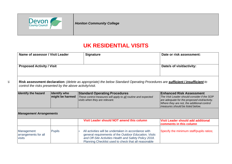

 $\vec{5}$ 

*Honiton Community College*

# **UK RESIDENTIAL VISITS**

| Name of assessor / Visit Leader                                      |               | <b>Signature</b>                                                                                                                                                                                                                | Date or risk assessment:                                                                                                                                                                                          |  |  |  |
|----------------------------------------------------------------------|---------------|---------------------------------------------------------------------------------------------------------------------------------------------------------------------------------------------------------------------------------|-------------------------------------------------------------------------------------------------------------------------------------------------------------------------------------------------------------------|--|--|--|
|                                                                      |               |                                                                                                                                                                                                                                 |                                                                                                                                                                                                                   |  |  |  |
| <b>Proposed Activity / Visit</b>                                     |               | Date/s of visit/activity:                                                                                                                                                                                                       |                                                                                                                                                                                                                   |  |  |  |
| control the risks presented by the above activity/visit.             |               | Risk assessment declaration: (delete as appropriate) the below Standard Operating Procedures are sufficient / insufficient to                                                                                                   |                                                                                                                                                                                                                   |  |  |  |
| <b>Identify the hazard</b><br><b>Identify who</b><br>might be harmed |               | <b>Standard Operating Procedures</b><br>These control measures will apply to all routine and expected<br>visits when they are relevant.                                                                                         | <b>Enhanced Risk Assessment</b><br>The Visit Leader should consider if the SOP<br>are adequate for the proposed visit/activity.<br>Where they are not, the additional control<br>measures should be listed below. |  |  |  |
| <b>Management Arrangements</b>                                       |               |                                                                                                                                                                                                                                 |                                                                                                                                                                                                                   |  |  |  |
|                                                                      |               | Visit Leader should NOT amend this column                                                                                                                                                                                       | <b>Visit Leader should add additional</b><br>comments in this column                                                                                                                                              |  |  |  |
| Management<br>arrangements for all<br>visits                         | <b>Pupils</b> | All activities will be undertaken in accordance with<br>general requirements of the Outdoor Education, Visits<br>and Off-Site Activities Health and Safety Policy 2018.<br>Planning Checklist used to check that all reasonable | Specify the minimum staff/pupils ratios;                                                                                                                                                                          |  |  |  |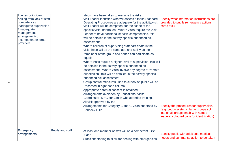| Injuries or incident<br>arising from lack of staff<br>competence /<br>inadequate supervision<br>inadequate<br>management<br>arrangements /<br>incompetent external<br>providers |                  | steps have been taken to manage the risks.<br>Visit Leader identified who will assess if these Standard<br>Operating Procedures are adequate for the activity/visit.<br>Visit Leader will be competent for the scope of the<br>specific visit undertaken. Where visits require the Visit<br>Leader to have additional specific competencies, this<br>will be detailed in the activity specific enhanced risk<br>assessment<br>Where children of supervising staff participate in the<br>visit, these will be the same age and ability as the<br>remainder of the group and hence can participate as<br>equals<br>Where visits require a higher level of supervision, this will<br>be detailed in the activity specific enhanced risk<br>assessment. Where visits involve any degree of 'remote<br>supervision', this will be detailed in the activity specific<br>enhanced risk assessment<br>Group control measures used to supervise pupils will be<br>Recorded in right hand column<br>Appropriate parental consent is obtained<br>Arrangements overseen by Educational Visits<br>Coordinator, Mr Glenn Smith who attended training.<br>All visit approved by the<br>Arrangements for Category B and C Visits endorsed by<br><b>Babcock LDP</b> | Specify what information/instructions are<br>provided to pupils (emergency actions<br>cards etc.)<br>Specify the procedures for supervision,<br>(e.g. buddy systems, large groups split<br>into small groups each with named<br>leaders, coloured caps for identification) |
|---------------------------------------------------------------------------------------------------------------------------------------------------------------------------------|------------------|----------------------------------------------------------------------------------------------------------------------------------------------------------------------------------------------------------------------------------------------------------------------------------------------------------------------------------------------------------------------------------------------------------------------------------------------------------------------------------------------------------------------------------------------------------------------------------------------------------------------------------------------------------------------------------------------------------------------------------------------------------------------------------------------------------------------------------------------------------------------------------------------------------------------------------------------------------------------------------------------------------------------------------------------------------------------------------------------------------------------------------------------------------------------------------------------------------------------------------------------------|----------------------------------------------------------------------------------------------------------------------------------------------------------------------------------------------------------------------------------------------------------------------------|
| Emergency<br>arrangements                                                                                                                                                       | Pupils and staff | At least one member of staff will be a competent First<br>Aider<br>Sufficient staffing to allow for dealing with emergencies                                                                                                                                                                                                                                                                                                                                                                                                                                                                                                                                                                                                                                                                                                                                                                                                                                                                                                                                                                                                                                                                                                                       | Specify pupils with additional medical<br>needs and summarise action to be taken                                                                                                                                                                                           |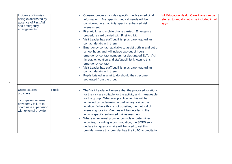| Incidents of injuries<br>being exacerbated by<br>absence of First Aid<br>and emergency<br>arrangements                            |               | Consent process includes specific medical/medicinal<br>information. Any specific medical needs will be<br>considered in an activity specific enhanced risk<br>assessment<br>First Aid kit and mobile phone carried. Emergency<br>procedure card carried with First Aid kit.<br>Visit Leader has staff/pupil list plus parent/guardian<br>contact details with them<br>Emergency contact available to assist both in and out of<br>school hours and will include two out of hours<br>emergency contact numbers for designated ELT. Visit<br>timetable, location and staff/pupil list known to this<br>emergency contact<br>Visit Leader has staff/pupil list plus parent/guardian<br>contact details with them<br>Pupils briefed in what to do should they become<br>separated from the group. | (full Education Health Care Plans can be<br>referred to and do not to be included in full<br>here) |
|-----------------------------------------------------------------------------------------------------------------------------------|---------------|-----------------------------------------------------------------------------------------------------------------------------------------------------------------------------------------------------------------------------------------------------------------------------------------------------------------------------------------------------------------------------------------------------------------------------------------------------------------------------------------------------------------------------------------------------------------------------------------------------------------------------------------------------------------------------------------------------------------------------------------------------------------------------------------------|----------------------------------------------------------------------------------------------------|
| Using external<br>providers<br>incompetent external<br>providers / failure to<br>coordinate supervision<br>with external provider | <b>Pupils</b> | The Visit Leader will ensure that the proposed locations<br>for the visit are suitable for the activity and manageable<br>for the group. Wherever practicable, this will be<br>achieved by undertaking a preliminary visit to the<br>location. Where this is not possible, the method of<br>assessing locations/venues will be detailed in the<br>activity specific enhanced risk assessment<br>Where an external provider controls or determines<br>activities, including accommodation, the SOE5 self-<br>declaration questionnaire will be used to vet this<br>provider unless this provider has the LoTC accreditation                                                                                                                                                                    |                                                                                                    |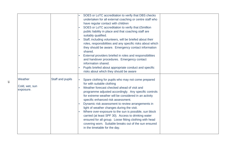|                                        |                  | SOE5 or LoTC accreditation to verify that DBS checks<br>undertaken for all external coaching or centre staff who<br>have regular contact with children<br>SOE5 or LoTC accreditation to verify that £5million<br>public liability in place and that coaching staff are<br>suitably qualified.<br>Staff, including volunteers, will be briefed about their<br>roles, responsibilities and any specific risks about which<br>they should be aware. Emergency contact information<br>shared.<br>External providers briefed in roles and responsibilities<br>and handover procedures. Emergency contact<br>information shared.<br>Pupils briefed about appropriate conduct and specific<br>risks about which they should be aware |  |
|----------------------------------------|------------------|-------------------------------------------------------------------------------------------------------------------------------------------------------------------------------------------------------------------------------------------------------------------------------------------------------------------------------------------------------------------------------------------------------------------------------------------------------------------------------------------------------------------------------------------------------------------------------------------------------------------------------------------------------------------------------------------------------------------------------|--|
| Weather<br>Cold, wet, sun<br>exposure. | Staff and pupils | Spare clothing for pupils who may not come prepared<br>for with suitable clothing<br>Weather forecast checked ahead of visit and<br>programme adjusted accordingly. Any specific controls<br>for extreme weather will be considered in an activity<br>specific enhanced risk assessment.<br>Dynamic risk assessment to review arrangements in<br>light of weather changes during the visit.<br>Where over-exposure to the sun is possible, sun block<br>carried (at least SPF 30). Access to drinking water<br>ensured for all group. Loose fitting clothing with head<br>covering worn. Suitable breaks out of the sun ensured<br>in the timetable for the day.                                                              |  |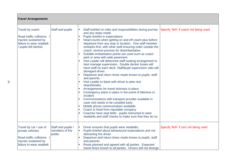| <b>Travel Arrangements</b>                                                                                                   |                                                |                                                                                                                                                                                                                                                                                                                                                                                                                                                                                                                                                                                                                                                                                                                                                                                                                                                                                                                                                                                                                                                                                                                                                                                                                                                                                                    |                                       |  |  |  |  |
|------------------------------------------------------------------------------------------------------------------------------|------------------------------------------------|----------------------------------------------------------------------------------------------------------------------------------------------------------------------------------------------------------------------------------------------------------------------------------------------------------------------------------------------------------------------------------------------------------------------------------------------------------------------------------------------------------------------------------------------------------------------------------------------------------------------------------------------------------------------------------------------------------------------------------------------------------------------------------------------------------------------------------------------------------------------------------------------------------------------------------------------------------------------------------------------------------------------------------------------------------------------------------------------------------------------------------------------------------------------------------------------------------------------------------------------------------------------------------------------------|---------------------------------------|--|--|--|--|
| Travel by coach<br>Road traffic collisions /<br>injuries sustained by<br>failure to wear seatbelt<br>/ pupils left behind    | Staff and pupils                               | Staff briefed on roles and responsibilities during journey<br>$\mathcal{L}_{\mathcal{A}}$<br>and any stops made.<br>Pupils briefed in expectations<br><b>COL</b><br>Head counts when getting on and off coach plus before<br>departure from any stop or location. One staff member<br>embarks first, with other staff ensuring order outside the<br>coach; reverse process for disembarkation.<br>Suitable embarkation points are used such as coach<br>park or area with wide pavement.<br>Visit Leader will determine staff seating arrangement to<br>best manage supervision. Double decker buses will<br>have staff on each deck. Staff/pupil supervision ratio will<br>disregard driver.<br>Departure and return times made known to pupils, staff<br>and parents<br>Visit Leader to liaise with driver to plan rest<br>$\mathcal{L}_{\mathcal{A}}$<br>stops/breaks.<br>Arrangements for travel sickness in place<br>Contingency plans in place in the event of lateness or<br>incident<br>Communications with transport provider available in<br>case visit needs to be curtailed early.<br>Mobile phone communication available<br>Coach is hired from reputable company<br>Coaches have seat belts - pupils instructed to wear<br>seatbelts and staff checks to make sure that they do so. | Specify 'N/A' if coach not being used |  |  |  |  |
| Travel by car / use of<br>private vehicles<br>Road traffic collisions /<br>injuries sustained by<br>failure to wear seatbelt | Staff and pupils /<br>members of the<br>public | Driver ensures that pupils wear seatbelts.<br>$\Box$<br>Pupils briefed about behavioural expectations and not<br>distracting the driver<br>Departure and return times made known to pupils, staff<br>and parents<br>Route planned and agreed with all parties. Expected<br>travel times known to all parties. Drivers will not diverge                                                                                                                                                                                                                                                                                                                                                                                                                                                                                                                                                                                                                                                                                                                                                                                                                                                                                                                                                             | Specify 'N/A' if cars not being used  |  |  |  |  |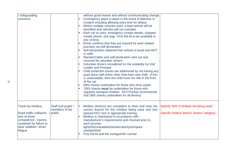| safeguarding<br>concerns                                                                                                                                |                                                | without good reason and without communicating change<br>Contingency plans in place in the event of lateness or<br>incident including allowing extra time for delays<br>Where multiple vehicles used, a lead vehicle will be<br>identified and vehicles will not overtake.<br>Each car to carry: emergency contact details, charged<br>mobile phone, sick bag. First Aid kit to be available in<br>any convoy.<br>Driver confirms that they are insured for work related<br>journeys via self-declaration<br>Self-declaration obtained that vehicle is taxed and MOT<br>is valid.<br>Standard letter and self-declaration sent out and<br>returned for volunteer drivers<br>Volunteer drivers considered for the suitability by Visit<br>$\sim$<br><b>Leader and Principal</b><br>Child protection issues are addressed by not having any<br>pupil alone with driver other than their own child. If this<br>is unavoidable, then the child must not ride in the front<br>of the car.<br>DBS checks undertaken for those who drive pupils<br>DBS checks must be undertaken for those who<br>regularly transport children. DCC/Torbay recommends<br>that DBS checks undertaken for all drivers] |
|---------------------------------------------------------------------------------------------------------------------------------------------------------|------------------------------------------------|----------------------------------------------------------------------------------------------------------------------------------------------------------------------------------------------------------------------------------------------------------------------------------------------------------------------------------------------------------------------------------------------------------------------------------------------------------------------------------------------------------------------------------------------------------------------------------------------------------------------------------------------------------------------------------------------------------------------------------------------------------------------------------------------------------------------------------------------------------------------------------------------------------------------------------------------------------------------------------------------------------------------------------------------------------------------------------------------------------------------------------------------------------------------------------------------|
| Travel by minibus<br>Road traffic collisions<br>lack of driver<br>competence / injuries<br>sustained by failure to<br>wear seatbelt / driver<br>fatigue | Staff and pupils /<br>members of the<br>public | Minibus driver(s) are competent to drive and have the<br>Specify 'N/A' if minibus not being used.<br>correct licence for the minibus being used and has<br>passed DCC test or appropriate training<br>Specify minibus drivers' licence category;<br>Minibus is maintained in accordance with<br>manufacturer's requirements and checked prior to<br>each journey:<br>lights/horn/seatbelts/windscreen/tyres/spare<br>tyre/jack/fuel.<br>First Aid kit and fire extinguisher carried.                                                                                                                                                                                                                                                                                                                                                                                                                                                                                                                                                                                                                                                                                                         |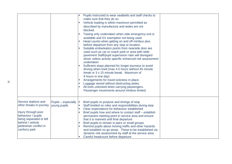|                                                                                                                                                                                         |                                     | Pupils instructed to wear seatbelts and staff checks to<br>make sure that they do so.<br>Vehicle loading is within maximum permitted as<br>$\mathcal{L}_{\mathcal{A}}$<br>described by manufacture and aisles are not<br>blocked.<br>Towing only undertaken when side emergency exit is<br>available and D1 exemption not being used.<br>Head counts when getting on and off minibus plus<br>before departure from any stop or location.<br>Suitable embarkation points from nearside door are<br>used such as car or coach park or area with wide<br>pavement Staff/pupil supervision ratio will disregard<br>driver unless activity specific enhanced risk assessment<br>undertaken<br>Sufficient stops planned for longer journeys to avoid<br>driving when tired (max 4.5 hours without 45 minute<br>break or 3 x 15 minute break. Maximum of<br>9 hours in one day)<br>Arrangements for travel sickness in place.<br>Luggage stored without obstructing aisles.<br>All exits unlocked when carrying passengers.<br>Passenger movements around minibus limited. |  |
|-----------------------------------------------------------------------------------------------------------------------------------------------------------------------------------------|-------------------------------------|---------------------------------------------------------------------------------------------------------------------------------------------------------------------------------------------------------------------------------------------------------------------------------------------------------------------------------------------------------------------------------------------------------------------------------------------------------------------------------------------------------------------------------------------------------------------------------------------------------------------------------------------------------------------------------------------------------------------------------------------------------------------------------------------------------------------------------------------------------------------------------------------------------------------------------------------------------------------------------------------------------------------------------------------------------------------|--|
| Service stations and<br>other breaks in journey<br>Injury through poor<br>behaviour / pupils<br>being separated or left<br>behind / vehicle<br>pedestrian conflict in<br>car/lorry park | Pupils - especially<br>young pupils | Brief pupils re purpose and timings of stop<br>$\mathbb{R}^n$<br>Staff briefed on roles and responsibilities during stop<br>Clear expectations for behaviour established<br>Brief pupils how and where to contact staff - establish<br>permanent meeting point in service area and ensure<br>that it is manned until final departure<br>Brief pupils to remain in pairs or small groups<br>Remind pupils about moving traffic and other hazards<br>and establish no go areas. These to be established via<br>dynamic risk assessment by staff at the service area.<br>Careful headcount before departure.                                                                                                                                                                                                                                                                                                                                                                                                                                                           |  |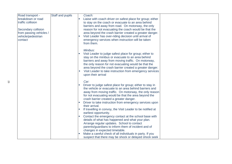| Road transport -        | Staff and pupils |        | Coach:                                                                    |  |
|-------------------------|------------------|--------|---------------------------------------------------------------------------|--|
| breakdown or road       |                  |        | Liaise with coach driver on safest place for group; either                |  |
| traffic collision       |                  |        | to stay on the coach or evacuate to an area behind                        |  |
|                         |                  |        | barriers and away from road. On motorway, the only                        |  |
| Secondary collision     |                  |        | reason for not evacuating the coach would be that the                     |  |
| from passing vehicles / |                  |        | area beyond the crash barrier created a greater danger.                   |  |
| vehicle/pedestrian      |                  |        | Visit Leader has over-riding decision until arrival of                    |  |
| contact                 |                  |        | emergency services when instruction will be taken                         |  |
|                         |                  |        | from them.                                                                |  |
|                         |                  |        | Minibus:                                                                  |  |
|                         |                  |        | Visit Leader to judge safest place for group; either to                   |  |
|                         |                  |        | stay on the minibus or evacuate to an area behind                         |  |
|                         |                  |        | barriers and away from moving traffic. On motorway,                       |  |
|                         |                  |        | the only reason for not evacuating would be that the                      |  |
|                         |                  |        | area beyond the crash barrier created a greater danger.                   |  |
|                         |                  | $\sim$ | Visit Leader to take instruction from emergency services                  |  |
|                         |                  |        | upon their arrival                                                        |  |
|                         |                  |        | Car:                                                                      |  |
|                         |                  |        | Driver to judge safest place for group; either to stay in                 |  |
|                         |                  |        | the vehicle or evacuate to an area behind barriers and                    |  |
|                         |                  |        | away from moving traffic. On motorway, the only reason                    |  |
|                         |                  |        | for not evacuating would be that the area beyond the                      |  |
|                         |                  |        | crash barrier created a greater danger.                                   |  |
|                         |                  |        | Driver to take instruction from emergency services upon<br>their arrival. |  |
|                         |                  |        | If travelling in convoy, the Visit Leader to be notified at               |  |
|                         |                  |        | earliest opportunity.                                                     |  |
|                         |                  |        | Contact the emergency contact at the school base with                     |  |
|                         |                  |        | details of what has happened and what your plan.                          |  |
|                         |                  |        | Arrange regular updates. School to contact                                |  |
|                         |                  |        | parents/guardians to inform them of incident and of                       |  |
|                         |                  |        | changes in expected timetable.                                            |  |
|                         |                  |        | Make a careful check of all individuals in party. If you                  |  |
|                         |                  |        | suspect that there may be shock or delayed shock seek                     |  |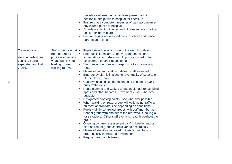|                                                                                                     |                                                                                                                                | the advice of emergency services present and if<br>desirable take pupils to hospital for check up.<br>Ensure that a competent member of staff accompanies<br>any injured pupils to hospital<br>Ascertain extent of injuries and of release times for the<br>uninjured/lightly injured.<br>Ensure regular updates fed back to school and hence<br>parents/guardians.                                                                                                                                                                                                                                                                                                                                                                                                                                                                                                                                                                                                                                                                                                                                                                                                                                                          |  |
|-----------------------------------------------------------------------------------------------------|--------------------------------------------------------------------------------------------------------------------------------|------------------------------------------------------------------------------------------------------------------------------------------------------------------------------------------------------------------------------------------------------------------------------------------------------------------------------------------------------------------------------------------------------------------------------------------------------------------------------------------------------------------------------------------------------------------------------------------------------------------------------------------------------------------------------------------------------------------------------------------------------------------------------------------------------------------------------------------------------------------------------------------------------------------------------------------------------------------------------------------------------------------------------------------------------------------------------------------------------------------------------------------------------------------------------------------------------------------------------|--|
| <b>Travel on foot</b><br>Vehicle pedestrian<br>conflict / pupils<br>separated and lost in<br>crowds | Staff supervising at  <br>front and rear /<br>pupils - especially<br>young pupils / staff<br>leading on road<br>walking routes | Pupils briefed on which side of the road to walk on.<br>Brief pupils in hazards, safety arrangements and<br>expectations for behaviour. Pupils instructed to be<br>considerate of other pedestrians<br>Staff briefed on roles and responsibilities for walking<br>route.<br>Means of communication between staff arranged.<br>Emergency plan is in place for eventuality of separation<br>of child from group<br>Coach/minibus disembarkation point chosen to avoid<br>busy traffic routes<br>Route planned and walked ahead avoid fast roads, blind<br>spots and other hazards. Pavements used wherever<br>possible<br>Designated crossing points used wherever possible<br>When walking on road, group will walk facing traffic or<br>on most appropriate side depending on conditions.<br>Pupils walk in controlled groups with staff member at<br>front of group with another at the rear who is looking out<br>for stragglers. Other staff evenly spread throughout the<br>group<br>Ongoing dynamic assessment by Visit Leader and/or<br>staff at front of group controls varied accordingly<br>Means of identification used to identify members of<br>group quickly in crowded environment<br>Regular headcounts taken |  |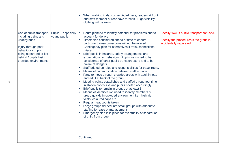|                                                                                                                                                                                            |                                     | When walking in dark or semi-darkness, leaders at front<br>and staff member at rear have torches. High visibility<br>clothing will be worn.                                                                                                                                                                                                                                                                                                                                                                                                                                                                                                                                                                                                                                                                                                                                                                                                                                                                                                                                                                                                                                                               |                                                                                                                  |
|--------------------------------------------------------------------------------------------------------------------------------------------------------------------------------------------|-------------------------------------|-----------------------------------------------------------------------------------------------------------------------------------------------------------------------------------------------------------------------------------------------------------------------------------------------------------------------------------------------------------------------------------------------------------------------------------------------------------------------------------------------------------------------------------------------------------------------------------------------------------------------------------------------------------------------------------------------------------------------------------------------------------------------------------------------------------------------------------------------------------------------------------------------------------------------------------------------------------------------------------------------------------------------------------------------------------------------------------------------------------------------------------------------------------------------------------------------------------|------------------------------------------------------------------------------------------------------------------|
| Use of public transport,<br>including trains and<br>underground<br>Injury through poor<br>behaviour / pupils<br>being separated or left<br>behind / pupils lost in<br>crowded environments | Pupils - especially<br>young pupils | Route planned to identify potential for problems and to<br>account for delays<br>Timetables considered ahead of time to ensure<br>particular trains/connections will not be missed.<br>Contingency plan for alternatives if train / connections<br>missed.<br>Brief pupils in hazards, safety arrangements and<br>expectations for behaviour. Pupils instructed to be<br>considerate of other public transport users and to be<br>aware of dangers<br>Staff briefed on roles and responsibilities for travel route.<br>Means of communication between staff in place.<br>Party to move through crowded areas with adult in lead<br>and adult at back of the group.<br>Meeting points established and staffed throughout time<br>in station concourse and pupils briefed accordingly.<br>Brief pupils to remain in groups of at least 3.<br>Means of identification used to identify members of<br>group quickly in crowded environment i.e. high vis<br>vests, coloured caps etc.<br>Regular headcounts taken<br>Large groups divided into small groups with adequate<br>staffing for ease of management<br>Emergency plan is in place for eventuality of separation<br>of child from group.<br>Continued | Specify 'N/A' if public transport not used.<br>Specify the procedures if the group is<br>accidentally separated. |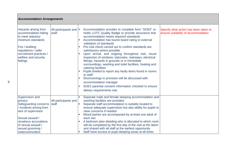| <b>Accommodation Arrangements</b>                                                                                                                                                                                    |                                  |                                                                                                                                                                                                                                                                                                                                                                                                                                                                                                                                                                                                                                                                                                                                                                                                                         |                                                                              |  |
|----------------------------------------------------------------------------------------------------------------------------------------------------------------------------------------------------------------------|----------------------------------|-------------------------------------------------------------------------------------------------------------------------------------------------------------------------------------------------------------------------------------------------------------------------------------------------------------------------------------------------------------------------------------------------------------------------------------------------------------------------------------------------------------------------------------------------------------------------------------------------------------------------------------------------------------------------------------------------------------------------------------------------------------------------------------------------------------------------|------------------------------------------------------------------------------|--|
| Hazards arising from<br>accommodation failing<br>to meet statutory<br>minimum standards<br>Fire / building<br>regulations / safer<br>recruitment practices /<br>welfare and security<br>failings                     | All participants and  <br>staff. | Accommodation provider to complete form "SOE5" or<br>holds LOTC Quality Badge to provide assurance that<br>accommodation meets required standards<br>Accommodation has tourist board rating or external<br>validation of standards<br>Pre-visit check carried out to confirm standards are<br>satisfactory where possible.<br>Upon arrival, and ongoing throughout visit, visual<br>inspection of windows, balconies, stairways, electrical<br>fittings, hazards in grounds or in immediate<br>surroundings, washing and toilet facilities, heating and<br>catering facilities<br>Pupils briefed to report any faulty items found in rooms<br>to staff<br>Shortcomings in provision will be discussed with<br>accommodation manager<br>SOE3 parental consent information checked to ensure<br>dietary requirements met. | Specify what action has been taken to<br>ensure suitability of accommodation |  |
| Supervision and<br>privacy<br>Safeguarding concerns<br>/ incidents arising from<br>lack of supervision<br>Sexual assault /<br>vexatious accusations<br>of sexual assault /<br>sexual grooming /<br>violence/incident | All participants and<br>staff    | Separate male and female sleeping accommodation and<br>washing facilities are provided.<br>Separate staff accommodation is suitably located to<br>ensure adequate supervision but also ability for pupils to<br>raise concerns if needed<br>Mixed parties are accompanied by at least one adult of<br>each sex<br>A bedroom plan detailing who is allocated to which room<br>will be completed by the first day of the visit at the latest<br>and shared with all staff at the earliest opportunity<br>Staff have access to pupil sleeping areas at all times                                                                                                                                                                                                                                                           |                                                                              |  |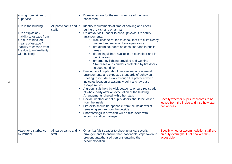| arising from failure to<br>supervise                                                                                                                                                         |                                  | Dormitories are for the exclusive use of the group<br>concerned.                                                                                                                                                                                                                                                                                                                                                                                                                                                                                                                                                                                                                                                                                                                                                                                                                                                                                                                                                                                                                                                                                                                                                                        |                                                                                                     |
|----------------------------------------------------------------------------------------------------------------------------------------------------------------------------------------------|----------------------------------|-----------------------------------------------------------------------------------------------------------------------------------------------------------------------------------------------------------------------------------------------------------------------------------------------------------------------------------------------------------------------------------------------------------------------------------------------------------------------------------------------------------------------------------------------------------------------------------------------------------------------------------------------------------------------------------------------------------------------------------------------------------------------------------------------------------------------------------------------------------------------------------------------------------------------------------------------------------------------------------------------------------------------------------------------------------------------------------------------------------------------------------------------------------------------------------------------------------------------------------------|-----------------------------------------------------------------------------------------------------|
| Fire in the building<br>Fire / explosion /<br>inability to escape from<br>fire due to blocked<br>means of escape /<br>inability to escape from<br>fire due to unfamiliarity<br>with building | All participants and  <br>staff. | Identify requirements at time of booking and check<br>during pre visit and on arrival<br>On arrival Visit Leader to check physical fire safety<br>arrangements:<br>o walk escape routes to check that fire exits clearly<br>marked and escape doors open easily<br>fire alarm sounders on each floor and in public<br>$\circ$<br>areas<br>fire extinguishers available on each floor and in<br>$\circ$<br>public areas<br>emergency lighting provided and working<br>$\circ$<br>Staircases and corridors protected by fire doors<br>$\circ$<br>in good condition.<br>Briefing to all pupils about fire evacuation on arrival<br>arrangements and expected standards of behaviour.<br>Briefing to include a walk through fire practice which<br>indicates location of assembly point and lay-out of<br>escape routes<br>A group list is held by Visit Leader to ensure registration<br>of whole party after an evacuation of the building.<br>Arrangements shared with other staff.<br>Decide whether or not pupils' doors should be locked<br>from the inside<br>Fire exits should be openable from the inside whilst<br>remaining secure from the outside<br>Shortcomings in provision will be discussed with<br>accommodation manager | Specify whether pupils' bedrooms to be<br>locked from the inside and if so how staff<br>can access. |
| Attack or disturbance<br>by intruder                                                                                                                                                         | All participants and  <br>staff  | On arrival Visit Leader to check physical security<br>arrangements to ensure that reasonable steps taken to<br>prevent unauthorised persons entering the<br>accommodation                                                                                                                                                                                                                                                                                                                                                                                                                                                                                                                                                                                                                                                                                                                                                                                                                                                                                                                                                                                                                                                               | Specify whether accommodation staff are<br>on duty overnight, if not how are they<br>accessible.    |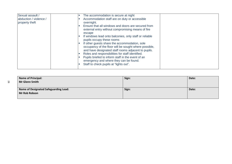| Sexual assault /       | The accommodation is secure at night                   |
|------------------------|--------------------------------------------------------|
| abduction / violence / | Accommodation staff are on duty or accessible          |
| property theft         | overnight.                                             |
|                        | Ensure that all windows and doors are secured from     |
|                        | external entry without compromising means of fire      |
|                        | escape                                                 |
|                        | If windows lead onto balconies, only staff or reliable |
|                        | pupils occupy these rooms                              |
|                        | If other guests share the accommodation, sole          |
|                        | occupancy of the floor will be sought where possible,  |
|                        | and have designated staff rooms adjacent to pupils.    |
|                        | Roles and responsibilities for staff identified.       |
|                        | Pupils briefed to inform staff in the event of an      |
|                        | emergency and where they can be found.                 |
|                        | Staff to check pupils at "lights out".                 |
|                        |                                                        |
|                        |                                                        |

| <b>Name of Principal:</b>             | Sign: | Date: |
|---------------------------------------|-------|-------|
| <b>Mr Glenn Smith</b>                 |       |       |
|                                       |       |       |
| Name of Designated Safeguarding Lead: | Sign: | Date: |
| <b>Mr Rob Robson</b>                  |       |       |
|                                       |       |       |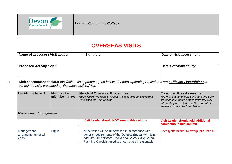

29

*Honiton Community College*

# **OVERSEAS VISITS**

| Name of assessor / Visit Leader                          |                                        | <b>Signature</b>                                                                                                                                                                                                                | Date or risk assessment:                                                                                                                                                                                          |  |  |  |
|----------------------------------------------------------|----------------------------------------|---------------------------------------------------------------------------------------------------------------------------------------------------------------------------------------------------------------------------------|-------------------------------------------------------------------------------------------------------------------------------------------------------------------------------------------------------------------|--|--|--|
| <b>Proposed Activity / Visit</b>                         |                                        |                                                                                                                                                                                                                                 | Date/s of visit/activity:                                                                                                                                                                                         |  |  |  |
|                                                          |                                        |                                                                                                                                                                                                                                 |                                                                                                                                                                                                                   |  |  |  |
| control the risks presented by the above activity/visit. |                                        | Risk assessment declaration: (delete as appropriate) the below Standard Operating Procedures are sufficient / insufficient to                                                                                                   |                                                                                                                                                                                                                   |  |  |  |
| <b>Identify the hazard</b>                               | <b>Identify who</b><br>might be harmed | <b>Standard Operating Procedures</b><br>These control measures will apply to all routine and expected<br>visits when they are relevant.                                                                                         | <b>Enhanced Risk Assessment</b><br>The Visit Leader should consider if the SOP<br>are adequate for the proposed visit/activity.<br>Where they are not, the additional control<br>measures should be listed below. |  |  |  |
|                                                          | <b>Management Arrangements</b>         |                                                                                                                                                                                                                                 |                                                                                                                                                                                                                   |  |  |  |
|                                                          |                                        | Visit Leader should NOT amend this column                                                                                                                                                                                       | Visit Leader should add additional<br>comments in this column                                                                                                                                                     |  |  |  |
| Management<br>arrangements for all<br>visits             | <b>Pupils</b>                          | All activities will be undertaken in accordance with<br>general requirements of the Outdoor Education, Visits<br>and Off-Site Activities Health and Safety Policy 2018.<br>Planning Checklist used to check that all reasonable | Specify the minimum staff/pupils' ratios;                                                                                                                                                                         |  |  |  |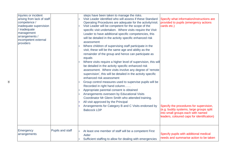| Injuries or incident<br>arising from lack of staff<br>competence /<br>inadequate supervision<br>' inadequate<br>management<br>arrangements /<br>incompetent external<br>providers |                  | steps have been taken to manage the risks.<br>Visit Leader identified who will assess if these Standard<br>Operating Procedures are adequate for the activity/visit.<br>Visit Leader will be competent for the scope of the<br>specific visit undertaken. Where visits require the Visit<br>Leader to have additional specific competencies, this<br>will be detailed in the activity specific enhanced risk<br>assessment<br>Where children of supervising staff participate in the<br>visit, these will be the same age and ability as the<br>remainder of the group and hence can participate as<br>equals<br>Where visits require a higher level of supervision, this will<br>be detailed in the activity specific enhanced risk<br>assessment. Where visits involve any degree of 'remote<br>supervision', this will be detailed in the activity specific<br>enhanced risk assessment<br>Group control measures used to supervise pupils will be<br>Recorded in right hand column<br>Appropriate parental consent is obtained<br>Arrangements overseen by Educational Visits<br>Coordinator Mr Glenn Smith who attended training.<br>All visit approved by the Principal<br>Arrangements for Category B and C Visits endorsed by<br><b>Babcock LDP</b> | Specify what information/instructions are<br>provided to pupils (emergency actions<br>cards etc.)<br>Specify the procedures for supervision,<br>(e.g. buddy systems, large groups split<br>into small groups each with named<br>leaders, coloured caps for identification) |
|-----------------------------------------------------------------------------------------------------------------------------------------------------------------------------------|------------------|-------------------------------------------------------------------------------------------------------------------------------------------------------------------------------------------------------------------------------------------------------------------------------------------------------------------------------------------------------------------------------------------------------------------------------------------------------------------------------------------------------------------------------------------------------------------------------------------------------------------------------------------------------------------------------------------------------------------------------------------------------------------------------------------------------------------------------------------------------------------------------------------------------------------------------------------------------------------------------------------------------------------------------------------------------------------------------------------------------------------------------------------------------------------------------------------------------------------------------------------------------------|----------------------------------------------------------------------------------------------------------------------------------------------------------------------------------------------------------------------------------------------------------------------------|
| Emergency<br>arrangements                                                                                                                                                         | Pupils and staff | At least one member of staff will be a competent First<br>Aider<br>Sufficient staffing to allow for dealing with emergencies                                                                                                                                                                                                                                                                                                                                                                                                                                                                                                                                                                                                                                                                                                                                                                                                                                                                                                                                                                                                                                                                                                                                | Specify pupils with additional medical<br>needs and summarise action to be taken                                                                                                                                                                                           |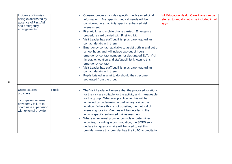| Incidents of injuries<br>being exacerbated by<br>absence of First Aid<br>and emergency<br>arrangements                            |               | Consent process includes specific medical/medicinal<br>information. Any specific medical needs will be<br>considered in an activity specific enhanced risk<br>assessment<br>First Aid kit and mobile phone carried. Emergency<br>procedure card carried with First Aid kit.<br>Visit Leader has staff/pupil list plus parent/guardian<br>contact details with them<br>Emergency contact available to assist both in and out of<br>school hours and will include two out of hours<br>emergency contact numbers for designated ELT. Visit<br>timetable, location and staff/pupil list known to this<br>emergency contact<br>Visit Leader has staff/pupil list plus parent/guardian<br>contact details with them<br>Pupils briefed in what to do should they become<br>separated from the group. | (full Education Health Care Plans can be<br>referred to and do not to be included in full<br>here) |
|-----------------------------------------------------------------------------------------------------------------------------------|---------------|-----------------------------------------------------------------------------------------------------------------------------------------------------------------------------------------------------------------------------------------------------------------------------------------------------------------------------------------------------------------------------------------------------------------------------------------------------------------------------------------------------------------------------------------------------------------------------------------------------------------------------------------------------------------------------------------------------------------------------------------------------------------------------------------------|----------------------------------------------------------------------------------------------------|
| Using external<br>providers<br>incompetent external<br>providers / failure to<br>coordinate supervision<br>with external provider | <b>Pupils</b> | The Visit Leader will ensure that the proposed locations<br>for the visit are suitable for the activity and manageable<br>for the group. Wherever practicable, this will be<br>achieved by undertaking a preliminary visit to the<br>location. Where this is not possible, the method of<br>assessing locations/venues will be detailed in the<br>activity specific enhanced risk assessment<br>Where an external provider controls or determines<br>activities, including accommodation, the SOE5 self-<br>declaration questionnaire will be used to vet this<br>provider unless this provider has the LoTC accreditation                                                                                                                                                                    |                                                                                                    |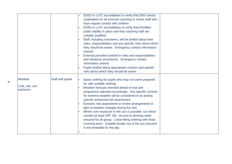|                                        |                  | SOE5 or LoTC accreditation to verify that DBS checks<br>undertaken for all external coaching or centre staff who<br>have regular contact with children<br>SOE5 or LoTC accreditation to verify that £5million<br>public liability in place and that coaching staff are<br>suitably qualified.<br>Staff, including volunteers, will be briefed about their<br>roles, responsibilities and any specific risks about which<br>they should be aware. Emergency contact information<br>shared.<br>External providers briefed in roles and responsibilities<br>and handover procedures. Emergency contact<br>information shared.<br>Pupils briefed about appropriate conduct and specific<br>risks about which they should be aware |  |
|----------------------------------------|------------------|-------------------------------------------------------------------------------------------------------------------------------------------------------------------------------------------------------------------------------------------------------------------------------------------------------------------------------------------------------------------------------------------------------------------------------------------------------------------------------------------------------------------------------------------------------------------------------------------------------------------------------------------------------------------------------------------------------------------------------|--|
| Weather<br>Cold, wet, sun<br>exposure. | Staff and pupils | Spare clothing for pupils who may not come prepared<br>for with suitable clothing<br>Weather forecast checked ahead of visit and<br>programme adjusted accordingly. Any specific controls<br>for extreme weather will be considered in an activity<br>specific enhanced risk assessment.<br>Dynamic risk assessment to review arrangements in<br>light of weather changes during the visit.<br>Where over-exposure to the sun is possible, sun block<br>carried (at least SPF 30). Access to drinking water<br>ensured for all group. Loose fitting clothing with head<br>covering worn. Suitable breaks out of the sun ensured<br>in the timetable for the day.                                                              |  |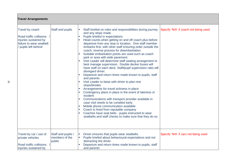| <b>Travel Arrangements</b>                                                                                              |                                                |                                                                                                                                                                                                                                                                                                                                                                                                                                                                                                                                                                                                                                                                                                                                                                                                                                                                                                                                                                                                                                                                                                                                                                                                                        |                                       |
|-------------------------------------------------------------------------------------------------------------------------|------------------------------------------------|------------------------------------------------------------------------------------------------------------------------------------------------------------------------------------------------------------------------------------------------------------------------------------------------------------------------------------------------------------------------------------------------------------------------------------------------------------------------------------------------------------------------------------------------------------------------------------------------------------------------------------------------------------------------------------------------------------------------------------------------------------------------------------------------------------------------------------------------------------------------------------------------------------------------------------------------------------------------------------------------------------------------------------------------------------------------------------------------------------------------------------------------------------------------------------------------------------------------|---------------------------------------|
| Travel by coach<br>Road traffic collisions<br>injuries sustained by<br>failure to wear seatbelt<br>/ pupils left behind | Staff and pupils                               | Staff briefed on roles and responsibilities during journey<br>and any stops made.<br>Pupils briefed in expectations<br>Head counts when getting on and off coach plus before<br>departure from any stop or location. One staff member<br>embarks first, with other staff ensuring order outside the<br>coach; reverse process for disembarkation.<br>Suitable embarkation points are used such as coach<br>park or area with wide pavement.<br>Visit Leader will determine staff seating arrangement to<br>best manage supervision. Double decker buses will<br>have staff on each deck. Staff/pupil supervision ratio will<br>disregard driver.<br>Departure and return times made known to pupils, staff<br>and parents<br>Visit Leader to liaise with driver to plan rest<br>stops/breaks.<br>Arrangements for travel sickness in place<br>Contingency plans in place in the event of lateness or<br>incident<br>Communications with transport provider available in<br>case visit needs to be curtailed early.<br>Mobile phone communication available<br>Coach is hired from reputable company<br>Coaches have seat belts - pupils instructed to wear<br>seatbelts and staff checks to make sure that they do so. | Specify 'N/A' if coach not being used |
| Travel by car / use of<br>private vehicles<br>Road traffic collisions<br>injuries sustained by                          | Staff and pupils /<br>members of the<br>public | Driver ensures that pupils wear seatbelts.<br>m.<br>Pupils briefed about behavioural expectations and not<br>distracting the driver<br>Departure and return times made known to pupils, staff<br>and parents                                                                                                                                                                                                                                                                                                                                                                                                                                                                                                                                                                                                                                                                                                                                                                                                                                                                                                                                                                                                           | Specify 'N/A' if cars not being used  |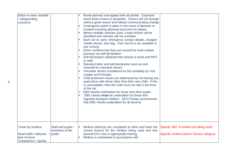| failure to wear seatbelt<br>safeguarding<br>concerns                                    |                                                  | $\blacksquare$<br>$\mathbb{R}^n$<br>$\blacksquare$<br>$\mathbf{m}$ | Route planned and agreed with all parties. Expected<br>travel times known to all parties. Drivers will not diverge<br>without good reason and without communicating change<br>Contingency plans in place in the event of lateness or<br>incident including allowing extra time for delays<br>Where multiple vehicles used, a lead vehicle will be<br>identified and vehicles will not overtake.<br>Each car to carry: emergency contact details, charged<br>mobile phone, sick bag. First Aid kit to be available in<br>any convoy.<br>Driver confirms that they are insured for work related<br>journeys via self-declaration<br>Self-declaration obtained that vehicle is taxed and MOT<br>is valid.<br>Standard letter and self-declaration sent out and<br>returned for volunteer drivers<br>Volunteer drivers considered for the suitability by Visit<br><b>Leader and Principal</b><br>Child protection issues are addressed by not having any<br>pupil alone with driver other than their own child. If this<br>is unavoidable, then the child must not ride in the front<br>of the car.<br>DBS checks undertaken for those who drive pupils<br>DBS checks must be undertaken for those who<br>regularly transport children. DCC/Torbay recommends<br>that DBS checks undertaken for all drivers] |                                                                                        |
|-----------------------------------------------------------------------------------------|--------------------------------------------------|--------------------------------------------------------------------|----------------------------------------------------------------------------------------------------------------------------------------------------------------------------------------------------------------------------------------------------------------------------------------------------------------------------------------------------------------------------------------------------------------------------------------------------------------------------------------------------------------------------------------------------------------------------------------------------------------------------------------------------------------------------------------------------------------------------------------------------------------------------------------------------------------------------------------------------------------------------------------------------------------------------------------------------------------------------------------------------------------------------------------------------------------------------------------------------------------------------------------------------------------------------------------------------------------------------------------------------------------------------------------------------------|----------------------------------------------------------------------------------------|
| Travel by minibus<br>Road traffic collisions<br>lack of driver<br>competence / injuries | Staff and pupils /<br>members of the<br>/ public | $\mathbb{R}^n$                                                     | Minibus driver(s) are competent to drive and have the<br>correct licence for the minibus being used and has<br>passed DCC test or appropriate training<br>Minibus is maintained in accordance with                                                                                                                                                                                                                                                                                                                                                                                                                                                                                                                                                                                                                                                                                                                                                                                                                                                                                                                                                                                                                                                                                                       | Specify 'N/A' if minibus not being used.<br>Specify minibus drivers' licence category; |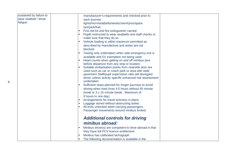| sustained by failure to |          | manufacturer's requirements and checked prior to                       |  |
|-------------------------|----------|------------------------------------------------------------------------|--|
| wear seatbelt / driver  |          | each journey:                                                          |  |
| fatigue                 |          | lights/horn/seatbelts/windscreen/tyres/spare                           |  |
|                         |          | tyre/jack/fuel.                                                        |  |
|                         | <b>T</b> | First Aid kit and fire extinguisher carried.                           |  |
|                         |          | Pupils instructed to wear seatbelts and staff checks to                |  |
|                         |          | make sure that they do so.                                             |  |
|                         |          | Vehicle loading is within maximum permitted as                         |  |
|                         |          | described by manufacture and aisles are not                            |  |
|                         |          | blocked.                                                               |  |
|                         |          | Towing only undertaken when side emergency exit is                     |  |
|                         |          | available and D1 exemption not being used.                             |  |
|                         |          | Head counts when getting on and off minibus plus                       |  |
|                         |          | before departure from any stop or location.                            |  |
|                         |          | Suitable embarkation points from nearside door are                     |  |
|                         |          | used such as car or coach park or area with wide                       |  |
|                         |          | pavement Staff/pupil supervision ratio will disregard                  |  |
|                         |          | driver unless activity specific enhanced risk assessment<br>undertaken |  |
|                         |          | Sufficient stops planned for longer journeys to avoid                  |  |
|                         |          | driving when tired (max 4.5 hours without 45 minute                    |  |
|                         |          | break or 3 x 15 minute break. Maximum of                               |  |
|                         |          | 9 hours in one day)                                                    |  |
|                         |          | Arrangements for travel sickness in place.                             |  |
|                         |          | Luggage stored without obstructing aisles.                             |  |
|                         |          | All exits unlocked when carrying passengers.                           |  |
|                         |          | Passenger movements around minibus limited.                            |  |
|                         |          | <b>Additional controls for driving</b>                                 |  |
|                         |          | minibus abroad:                                                        |  |
|                         |          | Minibus driver(s) are competent to drive abroad in that                |  |
|                         |          | they have full PCV licence entitlement                                 |  |
|                         |          | Minibus has calibrated tachograph                                      |  |
|                         |          | The following documentation is available in the                        |  |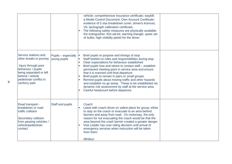|                                                                                                                                                                                         |                                     | vehicle: comprehensive insurance certificate; waybill;<br>a Model Control Document; Own Account Certificate;<br>evidence of 5 star breakdown cover; driver/s licences;<br>V5; tachograph calibration certificate.<br>The following safety measures are physically available:<br>fire extinguisher; first aid kit; warning triangle; spare set<br>of bulbs; high visibility jacket for the driver.                                                                                                                                                                                       |  |
|-----------------------------------------------------------------------------------------------------------------------------------------------------------------------------------------|-------------------------------------|-----------------------------------------------------------------------------------------------------------------------------------------------------------------------------------------------------------------------------------------------------------------------------------------------------------------------------------------------------------------------------------------------------------------------------------------------------------------------------------------------------------------------------------------------------------------------------------------|--|
| Service stations and<br>other breaks in journey<br>Injury through poor<br>behaviour / pupils<br>being separated or left<br>behind / vehicle<br>pedestrian conflict in<br>car/lorry park | Pupils - especially<br>young pupils | Brief pupils re purpose and timings of stop<br>Staff briefed on roles and responsibilities during stop<br>Clear expectations for behaviour established<br>Brief pupils how and where to contact staff - establish<br>permanent meeting point in service area and ensure<br>that it is manned until final departure<br>Brief pupils to remain in pairs or small groups<br>Remind pupils about moving traffic and other hazards<br>and establish no go areas. These to be established via<br>dynamic risk assessment by staff at the service area.<br>Careful headcount before departure. |  |
| Road transport -<br>breakdown or road<br>traffic collision<br>Secondary collision<br>from passing vehicles /<br>vehicle/pedestrian<br>contact                                           | Staff and pupils                    | Coach:<br>Liaise with coach driver on safest place for group; either<br>to stay on the coach or evacuate to an area behind<br>barriers and away from road. On motorway, the only<br>reason for not evacuating the coach would be that the<br>area beyond the crash barrier created a greater danger.<br>Visit Leader has over-riding decision until arrival of<br>emergency services when instruction will be taken<br>from them.<br>Minibus:                                                                                                                                           |  |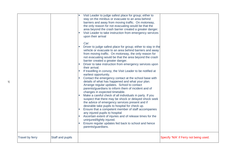|                 | $\Box$           | Visit Leader to judge safest place for group; either to<br>stay on the minibus or evacuate to an area behind<br>barriers and away from moving traffic. On motorway,<br>the only reason for not evacuating would be that the<br>area beyond the crash barrier created a greater danger.<br>Visit Leader to take instruction from emergency services<br>upon their arrival<br>Car:<br>Driver to judge safest place for group; either to stay in the<br>vehicle or evacuate to an area behind barriers and away<br>from moving traffic. On motorway, the only reason for<br>not evacuating would be that the area beyond the crash<br>barrier created a greater danger.<br>Driver to take instruction from emergency services upon<br>their arrival.<br>If travelling in convoy, the Visit Leader to be notified at<br>earliest opportunity.<br>Contact the emergency contact at the school base with<br>$\blacksquare$<br>details of what has happened and what your plan.<br>Arrange regular updates. School to contact<br>parents/guardians to inform them of incident and of<br>changes in expected timetable.<br>Make a careful check of all individuals in party. If you<br>suspect that there may be shock or delayed shock seek<br>the advice of emergency services present and if<br>desirable take pupils to hospital for check up.<br>Ensure that a competent member of staff accompanies<br>any injured pupils to hospital<br>Ascertain extent of injuries and of release times for the<br>uninjured/lightly injured.<br>Ensure regular updates fed back to school and hence |                                        |
|-----------------|------------------|---------------------------------------------------------------------------------------------------------------------------------------------------------------------------------------------------------------------------------------------------------------------------------------------------------------------------------------------------------------------------------------------------------------------------------------------------------------------------------------------------------------------------------------------------------------------------------------------------------------------------------------------------------------------------------------------------------------------------------------------------------------------------------------------------------------------------------------------------------------------------------------------------------------------------------------------------------------------------------------------------------------------------------------------------------------------------------------------------------------------------------------------------------------------------------------------------------------------------------------------------------------------------------------------------------------------------------------------------------------------------------------------------------------------------------------------------------------------------------------------------------------------------------------------------------------------------------------|----------------------------------------|
| Travel by ferry | Staff and pupils | parents/guardians.                                                                                                                                                                                                                                                                                                                                                                                                                                                                                                                                                                                                                                                                                                                                                                                                                                                                                                                                                                                                                                                                                                                                                                                                                                                                                                                                                                                                                                                                                                                                                                    | Specify 'N/A' if Ferry not being used. |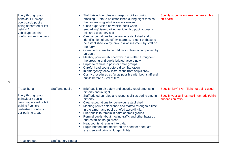| Injury through poor<br>behaviour / swept<br>overboard / pupils<br>being separated or left<br>behind /<br>vehicle/pedestrian<br>conflict on vehicle deck  |                      | Staff briefed on roles and responsibilities during<br>crossing. Rota to be established during night trips so<br>that supervising adult is always awake<br>Close supervision on vehicle deck when<br>embarking/disembarking vehicle. No pupil access to<br>this area unsupervised<br>Clear expectations for behaviour established and on<br>identification of any off-limits areas. Extent of these to<br>be established via dynamic risk assessment by staff on<br>the ferry.<br>Open deck areas to be off-limits unless accompanied by<br>an adult.<br>Meeting point established which is staffed throughout<br>the crossing and pupils briefed accordingly.<br>Pupils to remain in pairs or small groups<br>ш<br>Careful head count before disembarkation<br>In emergency follow instructions from ship's crew.<br>Clarify procedures as far as possible with both staff and<br>pupils before arrival at ferry. | Specify supervision arrangements whilst<br>on-board                                                          |
|----------------------------------------------------------------------------------------------------------------------------------------------------------|----------------------|-------------------------------------------------------------------------------------------------------------------------------------------------------------------------------------------------------------------------------------------------------------------------------------------------------------------------------------------------------------------------------------------------------------------------------------------------------------------------------------------------------------------------------------------------------------------------------------------------------------------------------------------------------------------------------------------------------------------------------------------------------------------------------------------------------------------------------------------------------------------------------------------------------------------|--------------------------------------------------------------------------------------------------------------|
| Travel by air<br>Injury through poor<br>behaviour / pupils<br>being separated or left<br>behind / vehicle<br>pedestrian conflict in<br>car parking areas | Staff and pupils     | Brief pupils re air safety and security requirements in<br>airports and in flight<br>Staff briefed on roles and responsibilities during time in<br>airports<br>Clear expectations for behaviour established<br>Meeting points established and staffed throughout time<br>in the airport and pupils briefed accordingly.<br>Brief pupils to remain in pairs or small groups<br>Remind pupils about moving traffic and other hazards<br>and establish no go areas.<br>Headcounts at regular intervals.<br>Pupils briefed and monitored on need for adequate<br>exercise and drink on longer flights.                                                                                                                                                                                                                                                                                                                | Specify 'N/A' if Air Flight not being used<br>Specify your airlines maximum adult/child<br>supervision ratio |
| <b>Travel on foot</b>                                                                                                                                    | Staff supervising at |                                                                                                                                                                                                                                                                                                                                                                                                                                                                                                                                                                                                                                                                                                                                                                                                                                                                                                                   |                                                                                                              |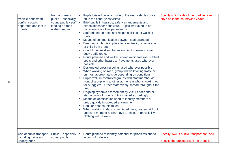| Vehicle pedestrian<br>conflict / pupils<br>separated and lost in<br>crowds | front and rear /<br>pupils - especially<br>young pupils / staff  =<br>leading on road<br>walking routes | T.<br>T.<br>T.<br>T.<br><b>The</b> | Pupils briefed on which side of the road vehicles drive<br>on in the country/ies visited.<br>Brief pupils in hazards, safety arrangements and<br>expectations for behaviour. Pupils instructed to be<br>considerate of other pedestrians<br>Staff briefed on roles and responsibilities for walking<br>route.<br>Means of communication between staff arranged.<br>Emergency plan is in place for eventuality of separation<br>of child from group<br>Coach/minibus disembarkation point chosen to avoid<br>busy traffic routes<br>Route planned and walked ahead avoid fast roads, blind<br>spots and other hazards. Pavements used wherever<br>possible<br>Designated crossing points used wherever possible<br>When walking on road, group will walk facing traffic or<br>on most appropriate side depending on conditions.<br>Pupils walk in controlled groups with staff member at<br>front of group with another at the rear who is looking out<br>for stragglers. Other staff evenly spread throughout the<br>group<br>Ongoing dynamic assessment by Visit Leader and/or<br>staff at front of group controls varied accordingly<br>Means of identification used to identify members of<br>group quickly in crowded environment<br>Regular headcounts taken<br>When walking in dark or semi-darkness, leaders at front | Specify which side of the road vehicles<br>drive on in the country/ies visited        |
|----------------------------------------------------------------------------|---------------------------------------------------------------------------------------------------------|------------------------------------|------------------------------------------------------------------------------------------------------------------------------------------------------------------------------------------------------------------------------------------------------------------------------------------------------------------------------------------------------------------------------------------------------------------------------------------------------------------------------------------------------------------------------------------------------------------------------------------------------------------------------------------------------------------------------------------------------------------------------------------------------------------------------------------------------------------------------------------------------------------------------------------------------------------------------------------------------------------------------------------------------------------------------------------------------------------------------------------------------------------------------------------------------------------------------------------------------------------------------------------------------------------------------------------------------------------------------|---------------------------------------------------------------------------------------|
|                                                                            |                                                                                                         |                                    | and staff member at rear have torches. High visibility<br>clothing will be worn.                                                                                                                                                                                                                                                                                                                                                                                                                                                                                                                                                                                                                                                                                                                                                                                                                                                                                                                                                                                                                                                                                                                                                                                                                                             |                                                                                       |
| Use of public transport,<br>including trains and<br>underground            | Pupils - especially<br>young pupils                                                                     |                                    | Route planned to identify potential for problems and to<br>account for delays                                                                                                                                                                                                                                                                                                                                                                                                                                                                                                                                                                                                                                                                                                                                                                                                                                                                                                                                                                                                                                                                                                                                                                                                                                                | Specify 'N/A' if public transport not used.<br>Specify the procedures if the group is |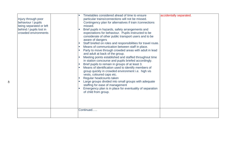| Injury through poor<br>behaviour / pupils<br>being separated or left<br>behind / pupils lost in<br>crowded environments | Timetables considered ahead of time to ensure<br>particular trains/connections will not be missed.<br>Contingency plan for alternatives if train / connections<br>missed.<br>Brief pupils in hazards, safety arrangements and<br>expectations for behaviour. Pupils instructed to be<br>considerate of other public transport users and to be<br>aware of dangers<br>Staff briefed on roles and responsibilities for travel route.<br>Means of communication between staff in place.<br>Party to move through crowded areas with adult in lead<br>and adult at back of the group.<br>Meeting points established and staffed throughout time<br>in station concourse and pupils briefed accordingly.<br>Brief pupils to remain in groups of at least 3.<br>Means of identification used to identify members of<br>group quickly in crowded environment i.e. high vis<br>vests, coloured caps etc.<br>Regular headcounts taken<br>Large groups divided into small groups with adequate<br>staffing for ease of management<br>Emergency plan is in place for eventuality of separation<br>of child from group.<br>Continued | accidentally separated. |
|-------------------------------------------------------------------------------------------------------------------------|--------------------------------------------------------------------------------------------------------------------------------------------------------------------------------------------------------------------------------------------------------------------------------------------------------------------------------------------------------------------------------------------------------------------------------------------------------------------------------------------------------------------------------------------------------------------------------------------------------------------------------------------------------------------------------------------------------------------------------------------------------------------------------------------------------------------------------------------------------------------------------------------------------------------------------------------------------------------------------------------------------------------------------------------------------------------------------------------------------------------------|-------------------------|
|                                                                                                                         |                                                                                                                                                                                                                                                                                                                                                                                                                                                                                                                                                                                                                                                                                                                                                                                                                                                                                                                                                                                                                                                                                                                          |                         |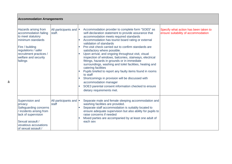| <b>Accommodation Arrangements</b>                                                                                                                                                                |                                  |                                                                                                                                                                                                                                                                                                                                                                                                                                                                                                                                                                                                                                                                                                                                                                                                                           |                                                                              |  |  |
|--------------------------------------------------------------------------------------------------------------------------------------------------------------------------------------------------|----------------------------------|---------------------------------------------------------------------------------------------------------------------------------------------------------------------------------------------------------------------------------------------------------------------------------------------------------------------------------------------------------------------------------------------------------------------------------------------------------------------------------------------------------------------------------------------------------------------------------------------------------------------------------------------------------------------------------------------------------------------------------------------------------------------------------------------------------------------------|------------------------------------------------------------------------------|--|--|
| Hazards arising from<br>accommodation failing<br>to meet statutory<br>minimum standards<br>Fire / building<br>regulations / safer<br>recruitment practices /<br>welfare and security<br>failings | All participants and  <br>staff. | Accommodation provider to complete form "SOE5" as<br>self-declaration statement to provide assurance that<br>accommodation meets required standards<br>Accommodation has tourist board rating or external<br>validation of standards<br>Pre-visit check carried out to confirm standards are<br>satisfactory where possible.<br>Upon arrival, and ongoing throughout visit, visual<br>inspection of windows, balconies, stairways, electrical<br>fittings, hazards in grounds or in immediate<br>surroundings, washing and toilet facilities, heating and<br>catering facilities<br>Pupils briefed to report any faulty items found in rooms<br>to staff<br>Shortcomings in provision will be discussed with<br>accommodation manager<br>SOE3 parental consent information checked to ensure<br>dietary requirements met. | Specify what action has been taken to<br>ensure suitability of accommodation |  |  |
| Supervision and<br>privacy<br>Safeguarding concerns<br>/ incidents arising from<br>lack of supervision<br>Sexual assault /<br>vexatious accusations<br>of sexual assault /                       | All participants and  <br>staff  | Separate male and female sleeping accommodation and<br>washing facilities are provided.<br>Separate staff accommodation is suitably located to<br>ensure adequate supervision but also ability for pupils to<br>raise concerns if needed<br>Mixed parties are accompanied by at least one adult of<br>each sex                                                                                                                                                                                                                                                                                                                                                                                                                                                                                                            |                                                                              |  |  |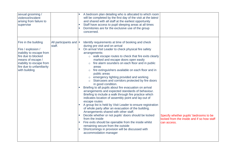| sexual grooming /<br>violence/incident<br>arising from failure to<br>supervise                                                                                                               |                                  | A bedroom plan detailing who is allocated to which room<br>will be completed by the first day of the visit at the latest<br>and shared with all staff at the earliest opportunity<br>Staff have access to pupil sleeping areas at all times<br>Dormitories are for the exclusive use of the group<br>concerned.                                                                                                                                                                                                                                                                                                                                                                                                                                                                                                                                                                                                                                                                                                                                                                                                                                                                                                     |                                                                                                     |
|----------------------------------------------------------------------------------------------------------------------------------------------------------------------------------------------|----------------------------------|---------------------------------------------------------------------------------------------------------------------------------------------------------------------------------------------------------------------------------------------------------------------------------------------------------------------------------------------------------------------------------------------------------------------------------------------------------------------------------------------------------------------------------------------------------------------------------------------------------------------------------------------------------------------------------------------------------------------------------------------------------------------------------------------------------------------------------------------------------------------------------------------------------------------------------------------------------------------------------------------------------------------------------------------------------------------------------------------------------------------------------------------------------------------------------------------------------------------|-----------------------------------------------------------------------------------------------------|
| Fire in the building<br>Fire / explosion /<br>inability to escape from<br>fire due to blocked<br>means of escape /<br>inability to escape from<br>fire due to unfamiliarity<br>with building | All participants and  <br>staff. | Identify requirements at time of booking and check<br>during pre visit and on arrival<br>On arrival Visit Leader to check physical fire safety<br>arrangements:<br>o walk escape routes to check that fire exits clearly<br>marked and escape doors open easily<br>fire alarm sounders on each floor and in public<br>$\circ$<br>areas<br>fire extinguishers available on each floor and in<br>$\circ$<br>public areas<br>o emergency lighting provided and working<br>Staircases and corridors protected by fire doors<br>in good condition.<br>Briefing to all pupils about fire evacuation on arrival<br>arrangements and expected standards of behaviour.<br>Briefing to include a walk through fire practice which<br>indicates location of assembly point and lay-out of<br>escape routes<br>A group list is held by Visit Leader to ensure registration<br>of whole party after an evacuation of the building.<br>Arrangements shared with other staff.<br>Decide whether or not pupils' doors should be locked<br>from the inside<br>Fire exits should be openable from the inside whilst<br>remaining secure from the outside<br>Shortcomings in provision will be discussed with<br>accommodation manager | Specify whether pupils' bedrooms to be<br>locked from the inside and if so how staff<br>can access. |